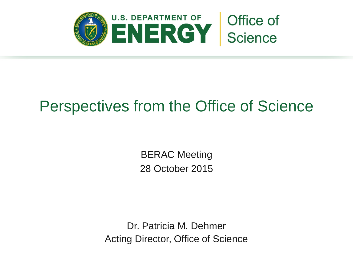

# Perspectives from the Office of Science

BERAC Meeting 28 October 2015

Dr. Patricia M. Dehmer Acting Director, Office of Science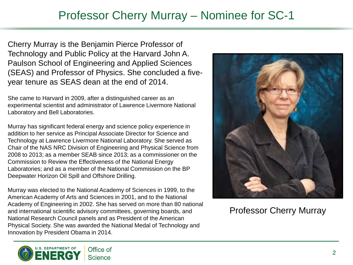### Professor Cherry Murray – Nominee for SC-1

Cherry Murray is the Benjamin Pierce Professor of Technology and Public Policy at the Harvard John A. Paulson School of Engineering and Applied Sciences (SEAS) and Professor of Physics. She concluded a fiveyear tenure as SEAS dean at the end of 2014.

She came to Harvard in 2009, after a distinguished career as an experimental scientist and administrator of Lawrence Livermore National Laboratory and Bell Laboratories.

Murray has significant federal energy and science policy experience in addition to her service as Principal Associate Director for Science and Technology at Lawrence Livermore National Laboratory. She served as Chair of the NAS NRC Division of Engineering and Physical Science from 2008 to 2013; as a member SEAB since 2013; as a commissioner on the Commission to Review the Effectiveness of the National Energy Laboratories; and as a member of the National Commission on the BP Deepwater Horizon Oil Spill and Offshore Drilling.

Murray was elected to the National Academy of Sciences in 1999, to the American Academy of Arts and Sciences in 2001, and to the National Academy of Engineering in 2002. She has served on more than 80 national and international scientific advisory committees, governing boards, and National Research Council panels and as President of the American Physical Society. She was awarded the National Medal of Technology and Innovation by President Obama in 2014.



Professor Cherry Murray

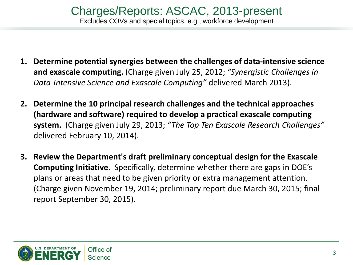- **1. Determine potential synergies between the challenges of data-intensive science and exascale computing.** (Charge given July 25, 2012; *"Synergistic Challenges in Data-Intensive Science and Exascale Computing"* delivered March 2013).
- **2. Determine the 10 principal research challenges and the technical approaches (hardware and software) required to develop a practical exascale computing system.** (Charge given July 29, 2013; *"The Top Ten Exascale Research Challenges"*  delivered February 10, 2014).
- **3. Review the Department's draft preliminary conceptual design for the Exascale Computing Initiative.** Specifically, determine whether there are gaps in DOE's plans or areas that need to be given priority or extra management attention. (Charge given November 19, 2014; preliminary report due March 30, 2015; final report September 30, 2015).

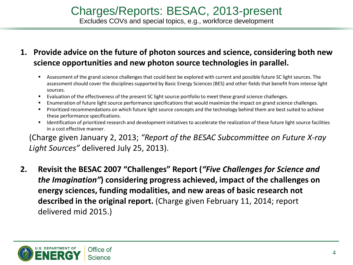### **1. Provide advice on the future of photon sources and science, considering both new science opportunities and new photon source technologies in parallel.**

- Assessment of the grand science challenges that could best be explored with current and possible future SC light sources. The assessment should cover the disciplines supported by Basic Energy Sciences (BES) and other fields that benefit from intense light sources.
- Evaluation of the effectiveness of the present SC light source portfolio to meet these grand science challenges.
- Enumeration of future light source performance specifications that would maximize the impact on grand science challenges.
- Prioritized recommendations on which future light source concepts and the technology behind them are best suited to achieve these performance specifications.
- Identification of prioritized research and development initiatives to accelerate the realization of these future light source facilities in a cost effective manner.

(Charge given January 2, 2013; *"Report of the BESAC Subcommittee on Future X-ray Light Sources"* delivered July 25, 2013).

**2. Revisit the BESAC 2007 "Challenges" Report (***"Five Challenges for Science and the Imagination"***) considering progress achieved, impact of the challenges on energy sciences, funding modalities, and new areas of basic research not described in the original report.** (Charge given February 11, 2014; report delivered mid 2015.)

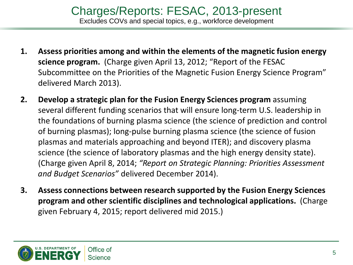- **1. Assess priorities among and within the elements of the magnetic fusion energy science program.** (Charge given April 13, 2012; "Report of the FESAC Subcommittee on the Priorities of the Magnetic Fusion Energy Science Program" delivered March 2013).
- **2. Develop a strategic plan for the Fusion Energy Sciences program** assuming several different funding scenarios that will ensure long-term U.S. leadership in the foundations of burning plasma science (the science of prediction and control of burning plasmas); long-pulse burning plasma science (the science of fusion plasmas and materials approaching and beyond ITER); and discovery plasma science (the science of laboratory plasmas and the high energy density state). (Charge given April 8, 2014; *"Report on Strategic Planning: Priorities Assessment and Budget Scenarios"* delivered December 2014).
- **3. Assess connections between research supported by the Fusion Energy Sciences program and other scientific disciplines and technological applications.** (Charge given February 4, 2015; report delivered mid 2015.)

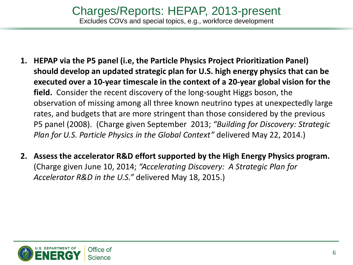- **1. HEPAP via the P5 panel (i.e, the Particle Physics Project Prioritization Panel) should develop an updated strategic plan for U.S. high energy physics that can be executed over a 10-year timescale in the context of a 20-year global vision for the field.** Consider the recent discovery of the long-sought Higgs boson, the observation of missing among all three known neutrino types at unexpectedly large rates, and budgets that are more stringent than those considered by the previous P5 panel (2008). (Charge given September 2013; *"Building for Discovery: Strategic Plan for U.S. Particle Physics in the Global Context"* delivered May 22, 2014.)
- **2. Assess the accelerator R&D effort supported by the High Energy Physics program.**  (Charge given June 10, 2014; *"Accelerating Discovery: A Strategic Plan for Accelerator R&D in the U.S."* delivered May 18, 2015.)

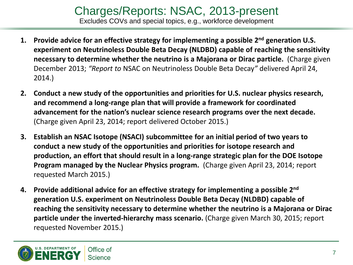#### Charges/Reports: NSAC, 2013-present Excludes COVs and special topics, e.g., workforce development

- **1. Provide advice for an effective strategy for implementing a possible 2nd generation U.S. experiment on Neutrinoless Double Beta Decay (NLDBD) capable of reaching the sensitivity necessary to determine whether the neutrino is a Majorana or Dirac particle.** (Charge given December 2013; *"Report to* NSAC on Neutrinoless Double Beta Decay*"* delivered April 24, 2014.)
- **2. Conduct a new study of the opportunities and priorities for U.S. nuclear physics research, and recommend a long-range plan that will provide a framework for coordinated advancement for the nation's nuclear science research programs over the next decade.**  (Charge given April 23, 2014; report delivered October 2015.)
- **3. Establish an NSAC Isotope (NSACI) subcommittee for an initial period of two years to conduct a new study of the opportunities and priorities for isotope research and production, an effort that should result in a long-range strategic plan for the DOE Isotope Program managed by the Nuclear Physics program.** (Charge given April 23, 2014; report requested March 2015.)
- **4. Provide additional advice for an effective strategy for implementing a possible 2nd generation U.S. experiment on Neutrinoless Double Beta Decay (NLDBD) capable of reaching the sensitivity necessary to determine whether the neutrino is a Majorana or Dirac particle under the inverted-hierarchy mass scenario.** (Charge given March 30, 2015; report requested November 2015.)

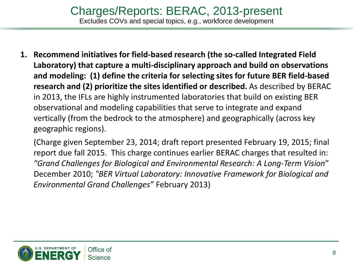**1. Recommend initiatives for field-based research (the so-called Integrated Field Laboratory) that capture a multi-disciplinary approach and build on observations and modeling: (1) define the criteria for selecting sites for future BER field-based research and (2) prioritize the sites identified or described.** As described by BERAC in 2013, the IFLs are highly instrumented laboratories that build on existing BER observational and modeling capabilities that serve to integrate and expand vertically (from the bedrock to the atmosphere) and geographically (across key geographic regions).

(Charge given September 23, 2014; draft report presented February 19, 2015; final report due fall 2015. This charge continues earlier BERAC charges that resulted in: *"Grand Challenges for Biological and Environmental Research: A Long-Term Vision*" December 2010; *"BER Virtual Laboratory: Innovative Framework for Biological and Environmental Grand Challenges"* February 2013)

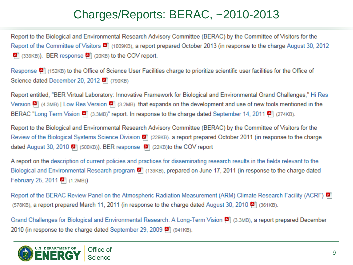## Charges/Reports: BERAC, ~2010-2013

Report to the Biological and Environmental Research Advisory Committee (BERAC) by the Committee of Visitors for the Report of the Committee of Visitors [4] (1009KB), a report prepared October 2013 (in response to the charge August 30, 2012 [4] (339KB)). BER response [4] (20KB) to the COV report.

Response [4] (152KB) to the Office of Science User Facilities charge to prioritize scientific user facilities for the Office of Science dated December 20, 2012 [4] (790KB)

Report entitled, "BER Virtual Laboratory: Innovative Framework for Biological and Environmental Grand Challenges," Hi Res Version  $\left[\frac{1}{2}\right]$  (4.3MB) | Low Res Version  $\left[\frac{1}{2}\right]$  (3.2MB) that expands on the development and use of new tools mentioned in the BERAC "Long Term Vision [4] (3.3MB)" report. In response to the charge dated September 14, 2011 [4] (274KB).

Report to the Biological and Environmental Research Advisory Committee (BERAC) by the Committee of Visitors for the Review of the Biological Systems Science Division [9] (229KB), a report prepared October 2011 (in response to the charge dated August 30, 2010  $\bullet$  (500KB)). BER response  $\bullet$  (22KB)to the COV report

A report on the description of current policies and practices for disseminating research results in the fields relevant to the Biological and Environmental Research program [4] (139KB), prepared on June 17, 2011 (in response to the charge dated February 25, 2011 [9] (1.2MB))

Report of the BERAC Review Panel on the Atmospheric Radiation Measurement (ARM) Climate Research Facility (ACRF) (578KB), a report prepared March 11, 2011 (in response to the charge dated August 30, 2010  $\blacksquare$  (361KB).

Grand Challenges for Biological and Environmental Research: A Long-Term Vision [4] (3.3MB), a report prepared December 2010 (in response to the charge dated September 29, 2009 [4] (941KB).